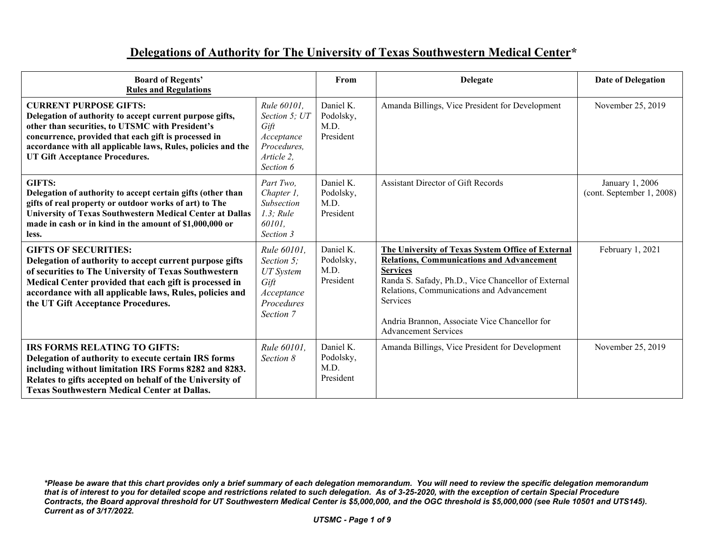## **Delegations of Authority for The University of Texas Southwestern Medical Center\***

| <b>Board of Regents'</b><br><b>Rules and Regulations</b>                                                                                                                                                                                                                                                       |                                                                                                       | From                                        | <b>Delegate</b>                                                                                                                                                                                                                                                                                                          | <b>Date of Delegation</b>                    |
|----------------------------------------------------------------------------------------------------------------------------------------------------------------------------------------------------------------------------------------------------------------------------------------------------------------|-------------------------------------------------------------------------------------------------------|---------------------------------------------|--------------------------------------------------------------------------------------------------------------------------------------------------------------------------------------------------------------------------------------------------------------------------------------------------------------------------|----------------------------------------------|
| <b>CURRENT PURPOSE GIFTS:</b><br>Delegation of authority to accept current purpose gifts,<br>other than securities, to UTSMC with President's<br>concurrence, provided that each gift is processed in<br>accordance with all applicable laws, Rules, policies and the<br><b>UT Gift Acceptance Procedures.</b> | Rule 60101.<br>Section 5; UT<br>Gift<br>Acceptance<br>Procedures.<br>Article 2,<br>Section 6          | Daniel K.<br>Podolsky,<br>M.D.<br>President | Amanda Billings, Vice President for Development                                                                                                                                                                                                                                                                          | November 25, 2019                            |
| <b>GIFTS:</b><br>Delegation of authority to accept certain gifts (other than<br>gifts of real property or outdoor works of art) to The<br><b>University of Texas Southwestern Medical Center at Dallas</b><br>made in cash or in kind in the amount of \$1,000,000 or<br>less.                                 | Part Two.<br>Chapter 1,<br>Subsection<br>$1.3$ ; Rule<br>60101,<br>Section 3                          | Daniel K.<br>Podolsky,<br>M.D.<br>President | Assistant Director of Gift Records                                                                                                                                                                                                                                                                                       | January 1, 2006<br>(cont. September 1, 2008) |
| <b>GIFTS OF SECURITIES:</b><br>Delegation of authority to accept current purpose gifts<br>of securities to The University of Texas Southwestern<br>Medical Center provided that each gift is processed in<br>accordance with all applicable laws, Rules, policies and<br>the UT Gift Acceptance Procedures.    | <i>Rule</i> 60101.<br>Section 5;<br><b>UT</b> System<br>Gift<br>Acceptance<br>Procedures<br>Section 7 | Daniel K.<br>Podolsky,<br>M.D.<br>President | The University of Texas System Office of External<br><b>Relations, Communications and Advancement</b><br><b>Services</b><br>Randa S. Safady, Ph.D., Vice Chancellor of External<br>Relations, Communications and Advancement<br>Services<br>Andria Brannon, Associate Vice Chancellor for<br><b>Advancement Services</b> | February 1, 2021                             |
| <b>IRS FORMS RELATING TO GIFTS:</b><br>Delegation of authority to execute certain IRS forms<br>including without limitation IRS Forms 8282 and 8283.<br>Relates to gifts accepted on behalf of the University of<br><b>Texas Southwestern Medical Center at Dallas.</b>                                        | Rule 60101,<br>Section 8                                                                              | Daniel K.<br>Podolsky,<br>M.D.<br>President | Amanda Billings, Vice President for Development                                                                                                                                                                                                                                                                          | November 25, 2019                            |

*<sup>\*</sup>Please be aware that this chart provides only a brief summary of each delegation memorandum. You will need to review the specific delegation memorandum that is of interest to you for detailed scope and restrictions related to such delegation. As of 3-25-2020, with the exception of certain Special Procedure Contracts, the Board approval threshold for UT Southwestern Medical Center is \$5,000,000, and the OGC threshold is \$5,000,000 (see Rule 10501 and UTS145). Current as of 3/17/2022.*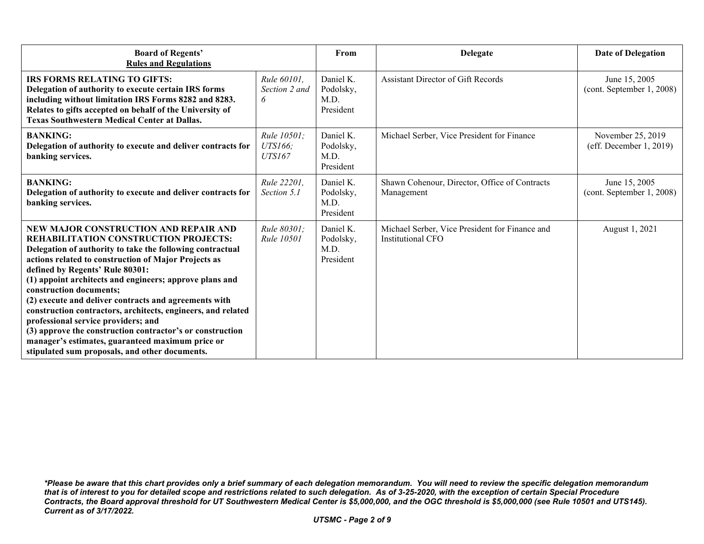| <b>Board of Regents'</b><br><b>Rules and Regulations</b>                                                                                                                                                                                                                                                                                                                                                                                                                                                                                                                                                                                                               |                                         | From                                        | <b>Delegate</b>                                                     | <b>Date of Delegation</b>                       |
|------------------------------------------------------------------------------------------------------------------------------------------------------------------------------------------------------------------------------------------------------------------------------------------------------------------------------------------------------------------------------------------------------------------------------------------------------------------------------------------------------------------------------------------------------------------------------------------------------------------------------------------------------------------------|-----------------------------------------|---------------------------------------------|---------------------------------------------------------------------|-------------------------------------------------|
| <b>IRS FORMS RELATING TO GIFTS:</b><br>Delegation of authority to execute certain IRS forms<br>including without limitation IRS Forms 8282 and 8283.<br>Relates to gifts accepted on behalf of the University of<br><b>Texas Southwestern Medical Center at Dallas.</b>                                                                                                                                                                                                                                                                                                                                                                                                | Rule 60101,<br>Section 2 and<br>6       | Daniel K.<br>Podolsky,<br>M.D.<br>President | Assistant Director of Gift Records                                  | June 15, 2005<br>(cont. September 1, 2008)      |
| <b>BANKING:</b><br>Delegation of authority to execute and deliver contracts for<br>banking services.                                                                                                                                                                                                                                                                                                                                                                                                                                                                                                                                                                   | Rule 10501;<br>UTS166;<br><b>UTS167</b> | Daniel K.<br>Podolsky,<br>M.D.<br>President | Michael Serber, Vice President for Finance                          | November 25, 2019<br>(eff. December $1, 2019$ ) |
| <b>BANKING:</b><br>Delegation of authority to execute and deliver contracts for<br>banking services.                                                                                                                                                                                                                                                                                                                                                                                                                                                                                                                                                                   | Rule 22201,<br>Section 5.1              | Daniel K.<br>Podolsky,<br>M.D.<br>President | Shawn Cohenour, Director, Office of Contracts<br>Management         | June 15, 2005<br>(cont. September 1, 2008)      |
| NEW MAJOR CONSTRUCTION AND REPAIR AND<br><b>REHABILITATION CONSTRUCTION PROJECTS:</b><br>Delegation of authority to take the following contractual<br>actions related to construction of Major Projects as<br>defined by Regents' Rule 80301:<br>(1) appoint architects and engineers; approve plans and<br>construction documents;<br>(2) execute and deliver contracts and agreements with<br>construction contractors, architects, engineers, and related<br>professional service providers; and<br>(3) approve the construction contractor's or construction<br>manager's estimates, guaranteed maximum price or<br>stipulated sum proposals, and other documents. | Rule 80301:<br><i>Rule</i> 10501        | Daniel K.<br>Podolsky,<br>M.D.<br>President | Michael Serber, Vice President for Finance and<br>Institutional CFO | August 1, 2021                                  |

*<sup>\*</sup>Please be aware that this chart provides only a brief summary of each delegation memorandum. You will need to review the specific delegation memorandum that is of interest to you for detailed scope and restrictions related to such delegation. As of 3-25-2020, with the exception of certain Special Procedure Contracts, the Board approval threshold for UT Southwestern Medical Center is \$5,000,000, and the OGC threshold is \$5,000,000 (see Rule 10501 and UTS145). Current as of 3/17/2022.*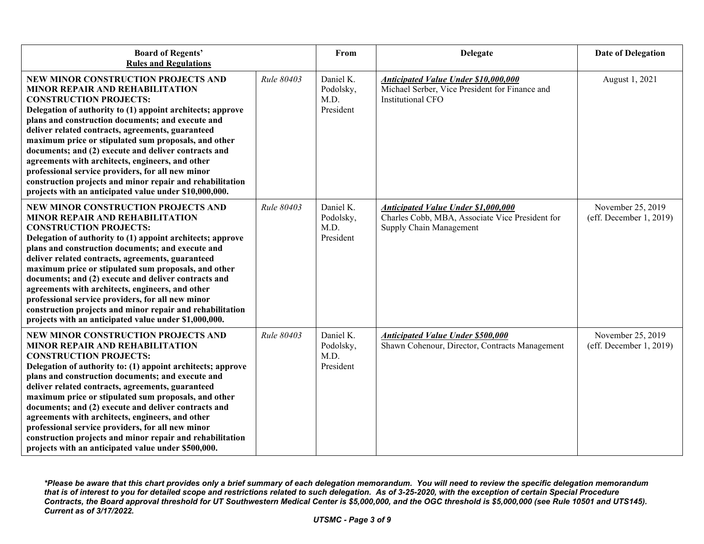| <b>Board of Regents'</b><br><b>Rules and Regulations</b>                                                                                                                                                                                                                                                                                                                                                                                                                                                                                                                                                                               |            | From                                        | <b>Delegate</b>                                                                                                          | <b>Date of Delegation</b>                    |
|----------------------------------------------------------------------------------------------------------------------------------------------------------------------------------------------------------------------------------------------------------------------------------------------------------------------------------------------------------------------------------------------------------------------------------------------------------------------------------------------------------------------------------------------------------------------------------------------------------------------------------------|------------|---------------------------------------------|--------------------------------------------------------------------------------------------------------------------------|----------------------------------------------|
| NEW MINOR CONSTRUCTION PROJECTS AND<br><b>MINOR REPAIR AND REHABILITATION</b><br><b>CONSTRUCTION PROJECTS:</b><br>Delegation of authority to (1) appoint architects; approve<br>plans and construction documents; and execute and<br>deliver related contracts, agreements, guaranteed<br>maximum price or stipulated sum proposals, and other<br>documents; and (2) execute and deliver contracts and<br>agreements with architects, engineers, and other<br>professional service providers, for all new minor<br>construction projects and minor repair and rehabilitation<br>projects with an anticipated value under \$10,000,000. | Rule 80403 | Daniel K.<br>Podolsky,<br>M.D.<br>President | Anticipated Value Under \$10,000,000<br>Michael Serber, Vice President for Finance and<br>Institutional CFO              | August 1, 2021                               |
| NEW MINOR CONSTRUCTION PROJECTS AND<br>MINOR REPAIR AND REHABILITATION<br><b>CONSTRUCTION PROJECTS:</b><br>Delegation of authority to (1) appoint architects; approve<br>plans and construction documents; and execute and<br>deliver related contracts, agreements, guaranteed<br>maximum price or stipulated sum proposals, and other<br>documents; and (2) execute and deliver contracts and<br>agreements with architects, engineers, and other<br>professional service providers, for all new minor<br>construction projects and minor repair and rehabilitation<br>projects with an anticipated value under \$1,000,000.         | Rule 80403 | Daniel K.<br>Podolsky,<br>M.D.<br>President | <b>Anticipated Value Under \$1,000,000</b><br>Charles Cobb, MBA, Associate Vice President for<br>Supply Chain Management | November 25, 2019<br>(eff. December 1, 2019) |
| <b>NEW MINOR CONSTRUCTION PROJECTS AND</b><br>MINOR REPAIR AND REHABILITATION<br><b>CONSTRUCTION PROJECTS:</b><br>Delegation of authority to: (1) appoint architects; approve<br>plans and construction documents; and execute and<br>deliver related contracts, agreements, guaranteed<br>maximum price or stipulated sum proposals, and other<br>documents; and (2) execute and deliver contracts and<br>agreements with architects, engineers, and other<br>professional service providers, for all new minor<br>construction projects and minor repair and rehabilitation<br>projects with an anticipated value under \$500,000.   | Rule 80403 | Daniel K.<br>Podolsky,<br>M.D.<br>President | <b>Anticipated Value Under \$500,000</b><br>Shawn Cohenour, Director, Contracts Management                               | November 25, 2019<br>(eff. December 1, 2019) |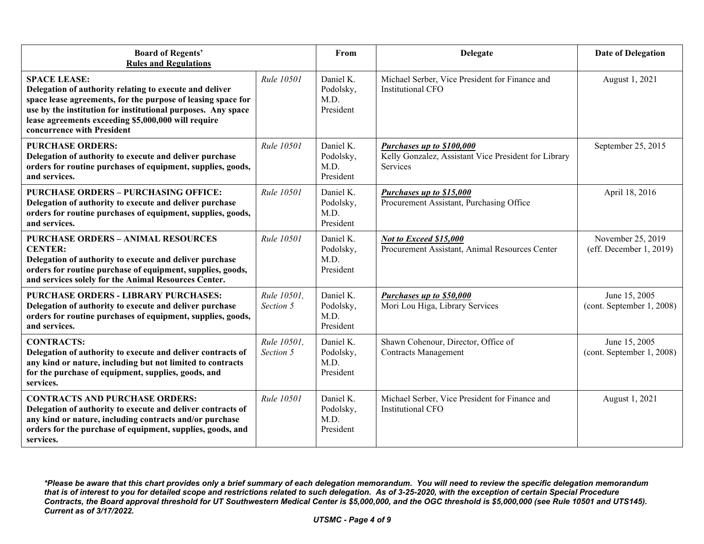| <b>Board of Regents'</b><br><b>Rules and Regulations</b>                                                                                                                                                                                                                                            |                          | From                                        | <b>Delegate</b>                                                                                      | <b>Date of Delegation</b>                    |
|-----------------------------------------------------------------------------------------------------------------------------------------------------------------------------------------------------------------------------------------------------------------------------------------------------|--------------------------|---------------------------------------------|------------------------------------------------------------------------------------------------------|----------------------------------------------|
| <b>SPACE LEASE:</b><br>Delegation of authority relating to execute and deliver<br>space lease agreements, for the purpose of leasing space for<br>use by the institution for institutional purposes. Any space<br>lease agreements exceeding \$5,000,000 will require<br>concurrence with President | Rule 10501               | Daniel K.<br>Podolsky,<br>M.D.<br>President | Michael Serber, Vice President for Finance and<br>Institutional CFO                                  | August 1, 2021                               |
| <b>PURCHASE ORDERS:</b><br>Delegation of authority to execute and deliver purchase<br>orders for routine purchases of equipment, supplies, goods,<br>and services.                                                                                                                                  | Rule 10501               | Daniel K.<br>Podolsky,<br>M.D.<br>President | <b>Purchases up to \$100,000</b><br>Kelly Gonzalez, Assistant Vice President for Library<br>Services | September 25, 2015                           |
| <b>PURCHASE ORDERS - PURCHASING OFFICE:</b><br>Delegation of authority to execute and deliver purchase<br>orders for routine purchases of equipment, supplies, goods,<br>and services.                                                                                                              | Rule 10501               | Daniel K.<br>Podolsky,<br>M.D.<br>President | Purchases up to \$15,000<br>Procurement Assistant, Purchasing Office                                 | April 18, 2016                               |
| <b>PURCHASE ORDERS - ANIMAL RESOURCES</b><br><b>CENTER:</b><br>Delegation of authority to execute and deliver purchase<br>orders for routine purchase of equipment, supplies, goods,<br>and services solely for the Animal Resources Center.                                                        | Rule 10501               | Daniel K.<br>Podolsky,<br>M.D.<br>President | Not to Exceed \$15,000<br>Procurement Assistant, Animal Resources Center                             | November 25, 2019<br>(eff. December 1, 2019) |
| <b>PURCHASE ORDERS - LIBRARY PURCHASES:</b><br>Delegation of authority to execute and deliver purchase<br>orders for routine purchases of equipment, supplies, goods,<br>and services.                                                                                                              | Rule 10501.<br>Section 5 | Daniel K.<br>Podolsky,<br>M.D.<br>President | Purchases up to \$50,000<br>Mori Lou Higa, Library Services                                          | June 15, 2005<br>(cont. September 1, 2008)   |
| <b>CONTRACTS:</b><br>Delegation of authority to execute and deliver contracts of<br>any kind or nature, including but not limited to contracts<br>for the purchase of equipment, supplies, goods, and<br>services.                                                                                  | Rule 10501.<br>Section 5 | Daniel K.<br>Podolsky,<br>M.D.<br>President | Shawn Cohenour, Director, Office of<br><b>Contracts Management</b>                                   | June 15, 2005<br>(cont. September 1, 2008)   |
| <b>CONTRACTS AND PURCHASE ORDERS:</b><br>Delegation of authority to execute and deliver contracts of<br>any kind or nature, including contracts and/or purchase<br>orders for the purchase of equipment, supplies, goods, and<br>services.                                                          | Rule 10501               | Daniel K.<br>Podolsky,<br>M.D.<br>President | Michael Serber, Vice President for Finance and<br><b>Institutional CFO</b>                           | August 1, 2021                               |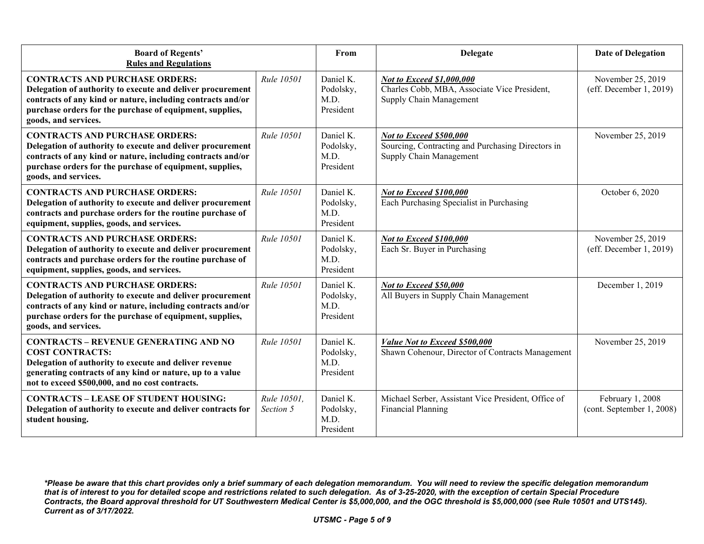| <b>Board of Regents'</b><br><b>Rules and Regulations</b>                                                                                                                                                                                               |                          | From                                        | <b>Delegate</b>                                                                                         | <b>Date of Delegation</b>                     |
|--------------------------------------------------------------------------------------------------------------------------------------------------------------------------------------------------------------------------------------------------------|--------------------------|---------------------------------------------|---------------------------------------------------------------------------------------------------------|-----------------------------------------------|
| <b>CONTRACTS AND PURCHASE ORDERS:</b><br>Delegation of authority to execute and deliver procurement<br>contracts of any kind or nature, including contracts and/or<br>purchase orders for the purchase of equipment, supplies,<br>goods, and services. | Rule 10501               | Daniel K.<br>Podolsky,<br>M.D.<br>President | Not to Exceed \$1,000,000<br>Charles Cobb, MBA, Associate Vice President,<br>Supply Chain Management    | November 25, 2019<br>(eff. December 1, 2019)  |
| <b>CONTRACTS AND PURCHASE ORDERS:</b><br>Delegation of authority to execute and deliver procurement<br>contracts of any kind or nature, including contracts and/or<br>purchase orders for the purchase of equipment, supplies,<br>goods, and services. | Rule 10501               | Daniel K.<br>Podolsky,<br>M.D.<br>President | Not to Exceed \$500,000<br>Sourcing, Contracting and Purchasing Directors in<br>Supply Chain Management | November 25, 2019                             |
| <b>CONTRACTS AND PURCHASE ORDERS:</b><br>Delegation of authority to execute and deliver procurement<br>contracts and purchase orders for the routine purchase of<br>equipment, supplies, goods, and services.                                          | Rule 10501               | Daniel K.<br>Podolsky,<br>M.D.<br>President | <b>Not to Exceed \$100,000</b><br>Each Purchasing Specialist in Purchasing                              | October 6, 2020                               |
| <b>CONTRACTS AND PURCHASE ORDERS:</b><br>Delegation of authority to execute and deliver procurement<br>contracts and purchase orders for the routine purchase of<br>equipment, supplies, goods, and services.                                          | Rule 10501               | Daniel K.<br>Podolsky,<br>M.D.<br>President | Not to Exceed \$100,000<br>Each Sr. Buyer in Purchasing                                                 | November 25, 2019<br>(eff. December 1, 2019)  |
| <b>CONTRACTS AND PURCHASE ORDERS:</b><br>Delegation of authority to execute and deliver procurement<br>contracts of any kind or nature, including contracts and/or<br>purchase orders for the purchase of equipment, supplies,<br>goods, and services. | Rule 10501               | Daniel K.<br>Podolsky,<br>M.D.<br>President | Not to Exceed \$50,000<br>All Buyers in Supply Chain Management                                         | December 1, 2019                              |
| <b>CONTRACTS - REVENUE GENERATING AND NO</b><br><b>COST CONTRACTS:</b><br>Delegation of authority to execute and deliver revenue<br>generating contracts of any kind or nature, up to a value<br>not to exceed \$500,000, and no cost contracts.       | Rule 10501               | Daniel K.<br>Podolsky,<br>M.D.<br>President | Value Not to Exceed \$500,000<br>Shawn Cohenour, Director of Contracts Management                       | November 25, 2019                             |
| <b>CONTRACTS - LEASE OF STUDENT HOUSING:</b><br>Delegation of authority to execute and deliver contracts for<br>student housing.                                                                                                                       | Rule 10501,<br>Section 5 | Daniel K.<br>Podolsky,<br>M.D.<br>President | Michael Serber, Assistant Vice President, Office of<br><b>Financial Planning</b>                        | February 1, 2008<br>(cont. September 1, 2008) |

*<sup>\*</sup>Please be aware that this chart provides only a brief summary of each delegation memorandum. You will need to review the specific delegation memorandum that is of interest to you for detailed scope and restrictions related to such delegation. As of 3-25-2020, with the exception of certain Special Procedure Contracts, the Board approval threshold for UT Southwestern Medical Center is \$5,000,000, and the OGC threshold is \$5,000,000 (see Rule 10501 and UTS145). Current as of 3/17/2022.*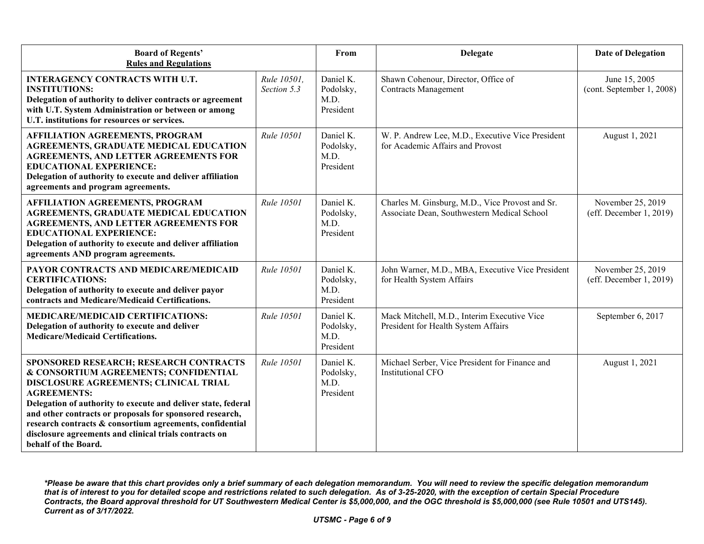| <b>Board of Regents'</b><br><b>Rules and Regulations</b>                                                                                                                                                                                                                                                                                                                                                                  |                            | From                                        | <b>Delegate</b>                                                                                | <b>Date of Delegation</b>                       |
|---------------------------------------------------------------------------------------------------------------------------------------------------------------------------------------------------------------------------------------------------------------------------------------------------------------------------------------------------------------------------------------------------------------------------|----------------------------|---------------------------------------------|------------------------------------------------------------------------------------------------|-------------------------------------------------|
| <b>INTERAGENCY CONTRACTS WITH U.T.</b><br><b>INSTITUTIONS:</b><br>Delegation of authority to deliver contracts or agreement<br>with U.T. System Administration or between or among<br>U.T. institutions for resources or services.                                                                                                                                                                                        | Rule 10501,<br>Section 5.3 | Daniel K.<br>Podolsky,<br>M.D.<br>President | Shawn Cohenour, Director, Office of<br><b>Contracts Management</b>                             | June 15, 2005<br>(cont. September 1, 2008)      |
| <b>AFFILIATION AGREEMENTS, PROGRAM</b><br><b>AGREEMENTS, GRADUATE MEDICAL EDUCATION</b><br><b>AGREEMENTS, AND LETTER AGREEMENTS FOR</b><br><b>EDUCATIONAL EXPERIENCE:</b><br>Delegation of authority to execute and deliver affiliation<br>agreements and program agreements.                                                                                                                                             | Rule 10501                 | Daniel K.<br>Podolsky,<br>M.D.<br>President | W. P. Andrew Lee, M.D., Executive Vice President<br>for Academic Affairs and Provost           | August 1, 2021                                  |
| <b>AFFILIATION AGREEMENTS, PROGRAM</b><br><b>AGREEMENTS, GRADUATE MEDICAL EDUCATION</b><br><b>AGREEMENTS, AND LETTER AGREEMENTS FOR</b><br><b>EDUCATIONAL EXPERIENCE:</b><br>Delegation of authority to execute and deliver affiliation<br>agreements AND program agreements.                                                                                                                                             | Rule 10501                 | Daniel K.<br>Podolsky,<br>M.D.<br>President | Charles M. Ginsburg, M.D., Vice Provost and Sr.<br>Associate Dean, Southwestern Medical School | November 25, 2019<br>(eff. December $1, 2019$ ) |
| PAYOR CONTRACTS AND MEDICARE/MEDICAID<br><b>CERTIFICATIONS:</b><br>Delegation of authority to execute and deliver payor<br>contracts and Medicare/Medicaid Certifications.                                                                                                                                                                                                                                                | Rule 10501                 | Daniel K.<br>Podolsky,<br>M.D.<br>President | John Warner, M.D., MBA, Executive Vice President<br>for Health System Affairs                  | November 25, 2019<br>(eff. December 1, 2019)    |
| MEDICARE/MEDICAID CERTIFICATIONS:<br>Delegation of authority to execute and deliver<br><b>Medicare/Medicaid Certifications.</b>                                                                                                                                                                                                                                                                                           | Rule 10501                 | Daniel K.<br>Podolsky,<br>M.D.<br>President | Mack Mitchell, M.D., Interim Executive Vice<br>President for Health System Affairs             | September 6, 2017                               |
| SPONSORED RESEARCH; RESEARCH CONTRACTS<br>& CONSORTIUM AGREEMENTS; CONFIDENTIAL<br>DISCLOSURE AGREEMENTS; CLINICAL TRIAL<br><b>AGREEMENTS:</b><br>Delegation of authority to execute and deliver state, federal<br>and other contracts or proposals for sponsored research,<br>research contracts & consortium agreements, confidential<br>disclosure agreements and clinical trials contracts on<br>behalf of the Board. | Rule 10501                 | Daniel K.<br>Podolsky,<br>M.D.<br>President | Michael Serber, Vice President for Finance and<br><b>Institutional CFO</b>                     | August 1, 2021                                  |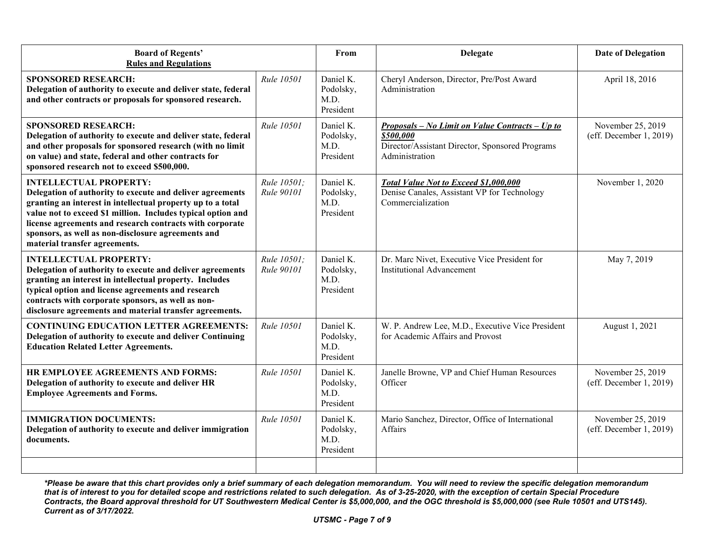| <b>Board of Regents'</b><br><b>Rules and Regulations</b>                                                                                                                                                                                                                                                                                                                     |                           | From                                        | <b>Delegate</b>                                                                                                                   | <b>Date of Delegation</b>                    |
|------------------------------------------------------------------------------------------------------------------------------------------------------------------------------------------------------------------------------------------------------------------------------------------------------------------------------------------------------------------------------|---------------------------|---------------------------------------------|-----------------------------------------------------------------------------------------------------------------------------------|----------------------------------------------|
| <b>SPONSORED RESEARCH:</b><br>Delegation of authority to execute and deliver state, federal<br>and other contracts or proposals for sponsored research.                                                                                                                                                                                                                      | Rule 10501                | Daniel K.<br>Podolsky,<br>M.D.<br>President | Cheryl Anderson, Director, Pre/Post Award<br>Administration                                                                       | April 18, 2016                               |
| <b>SPONSORED RESEARCH:</b><br>Delegation of authority to execute and deliver state, federal<br>and other proposals for sponsored research (with no limit<br>on value) and state, federal and other contracts for<br>sponsored research not to exceed \$500,000.                                                                                                              | Rule 10501                | Daniel K.<br>Podolsky,<br>M.D.<br>President | Proposals – No Limit on Value Contracts – Up to<br>\$500,000<br>Director/Assistant Director, Sponsored Programs<br>Administration | November 25, 2019<br>(eff. December 1, 2019) |
| <b>INTELLECTUAL PROPERTY:</b><br>Delegation of authority to execute and deliver agreements<br>granting an interest in intellectual property up to a total<br>value not to exceed \$1 million. Includes typical option and<br>license agreements and research contracts with corporate<br>sponsors, as well as non-disclosure agreements and<br>material transfer agreements. | Rule 10501;<br>Rule 90101 | Daniel K.<br>Podolsky,<br>M.D.<br>President | Total Value Not to Exceed \$1,000,000<br>Denise Canales, Assistant VP for Technology<br>Commercialization                         | November 1, 2020                             |
| <b>INTELLECTUAL PROPERTY:</b><br>Delegation of authority to execute and deliver agreements<br>granting an interest in intellectual property. Includes<br>typical option and license agreements and research<br>contracts with corporate sponsors, as well as non-<br>disclosure agreements and material transfer agreements.                                                 | Rule 10501:<br>Rule 90101 | Daniel K.<br>Podolsky,<br>M.D.<br>President | Dr. Marc Nivet, Executive Vice President for<br><b>Institutional Advancement</b>                                                  | May 7, 2019                                  |
| <b>CONTINUING EDUCATION LETTER AGREEMENTS:</b><br>Delegation of authority to execute and deliver Continuing<br><b>Education Related Letter Agreements.</b>                                                                                                                                                                                                                   | Rule 10501                | Daniel K.<br>Podolsky,<br>M.D.<br>President | W. P. Andrew Lee, M.D., Executive Vice President<br>for Academic Affairs and Provost                                              | August 1, 2021                               |
| HR EMPLOYEE AGREEMENTS AND FORMS:<br>Delegation of authority to execute and deliver HR<br><b>Employee Agreements and Forms.</b>                                                                                                                                                                                                                                              | Rule 10501                | Daniel K.<br>Podolsky,<br>M.D.<br>President | Janelle Browne, VP and Chief Human Resources<br>Officer                                                                           | November 25, 2019<br>(eff. December 1, 2019) |
| <b>IMMIGRATION DOCUMENTS:</b><br>Delegation of authority to execute and deliver immigration<br>documents.                                                                                                                                                                                                                                                                    | Rule 10501                | Daniel K.<br>Podolsky,<br>M.D.<br>President | Mario Sanchez, Director, Office of International<br>Affairs                                                                       | November 25, 2019<br>(eff. December 1, 2019) |
|                                                                                                                                                                                                                                                                                                                                                                              |                           |                                             |                                                                                                                                   |                                              |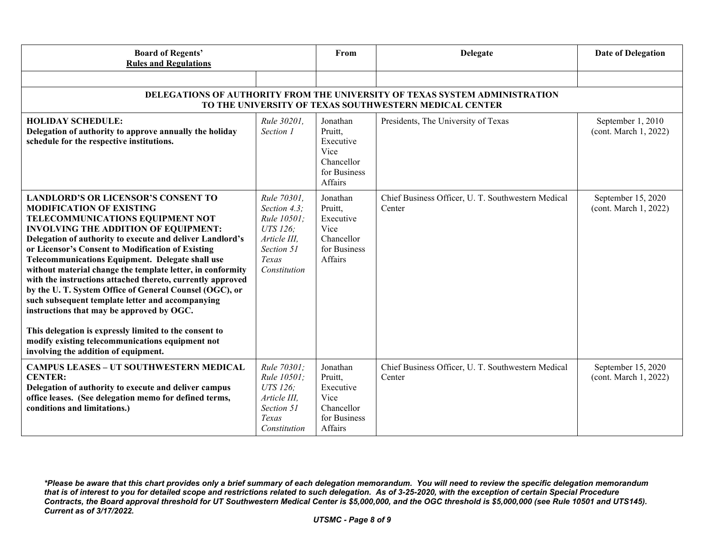| <b>Board of Regents'</b><br><b>Rules and Regulations</b>                                                                                                                                                                                                                                                                                                                                                                                                                                                                                                                                                                                                                                                                                                                                   |                                                                                                                      | From                                                                              | <b>Delegate</b>                                              | <b>Date of Delegation</b>                   |  |
|--------------------------------------------------------------------------------------------------------------------------------------------------------------------------------------------------------------------------------------------------------------------------------------------------------------------------------------------------------------------------------------------------------------------------------------------------------------------------------------------------------------------------------------------------------------------------------------------------------------------------------------------------------------------------------------------------------------------------------------------------------------------------------------------|----------------------------------------------------------------------------------------------------------------------|-----------------------------------------------------------------------------------|--------------------------------------------------------------|---------------------------------------------|--|
|                                                                                                                                                                                                                                                                                                                                                                                                                                                                                                                                                                                                                                                                                                                                                                                            |                                                                                                                      |                                                                                   |                                                              |                                             |  |
| DELEGATIONS OF AUTHORITY FROM THE UNIVERSITY OF TEXAS SYSTEM ADMINISTRATION<br>TO THE UNIVERSITY OF TEXAS SOUTHWESTERN MEDICAL CENTER                                                                                                                                                                                                                                                                                                                                                                                                                                                                                                                                                                                                                                                      |                                                                                                                      |                                                                                   |                                                              |                                             |  |
| <b>HOLIDAY SCHEDULE:</b><br>Delegation of authority to approve annually the holiday<br>schedule for the respective institutions.                                                                                                                                                                                                                                                                                                                                                                                                                                                                                                                                                                                                                                                           | Rule 30201,<br>Section 1                                                                                             | Jonathan<br>Pruitt,<br>Executive<br>Vice<br>Chancellor<br>for Business<br>Affairs | Presidents, The University of Texas                          | September 1, 2010<br>(cont. March 1, 2022)  |  |
| <b>LANDLORD'S OR LICENSOR'S CONSENT TO</b><br><b>MODIFICATION OF EXISTING</b><br><b>TELECOMMUNICATIONS EQUIPMENT NOT</b><br><b>INVOLVING THE ADDITION OF EQUIPMENT:</b><br>Delegation of authority to execute and deliver Landlord's<br>or Licensor's Consent to Modification of Existing<br>Telecommunications Equipment. Delegate shall use<br>without material change the template letter, in conformity<br>with the instructions attached thereto, currently approved<br>by the U.T. System Office of General Counsel (OGC), or<br>such subsequent template letter and accompanying<br>instructions that may be approved by OGC.<br>This delegation is expressly limited to the consent to<br>modify existing telecommunications equipment not<br>involving the addition of equipment. | Rule 70301.<br>Section 4.3:<br><i>Rule 10501:</i><br>UTS 126;<br>Article III.<br>Section 51<br>Texas<br>Constitution | Jonathan<br>Pruitt,<br>Executive<br>Vice<br>Chancellor<br>for Business<br>Affairs | Chief Business Officer, U. T. Southwestern Medical<br>Center | September 15, 2020<br>(cont. March 1, 2022) |  |
| <b>CAMPUS LEASES - UT SOUTHWESTERN MEDICAL</b><br><b>CENTER:</b><br>Delegation of authority to execute and deliver campus<br>office leases. (See delegation memo for defined terms,<br>conditions and limitations.)                                                                                                                                                                                                                                                                                                                                                                                                                                                                                                                                                                        | Rule 70301;<br>Rule 10501;<br>UTS 126;<br>Article III,<br>Section 51<br>Texas<br>Constitution                        | Jonathan<br>Pruitt,<br>Executive<br>Vice<br>Chancellor<br>for Business<br>Affairs | Chief Business Officer, U. T. Southwestern Medical<br>Center | September 15, 2020<br>(cont. March 1, 2022) |  |